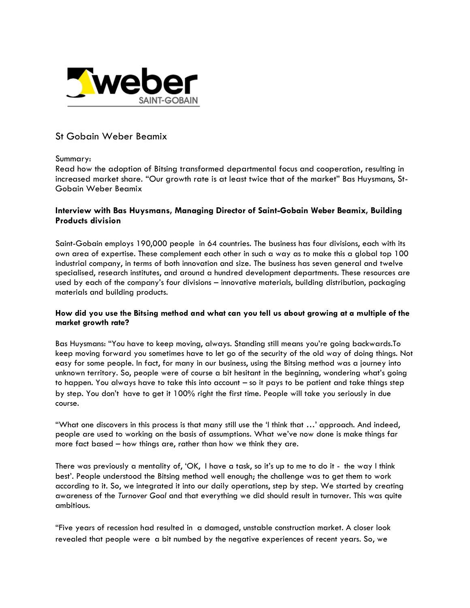

# St Gobain Weber Beamix

Summary:

Read how the adoption of Bitsing transformed departmental focus and cooperation, resulting in increased market share. "Our growth rate is at least twice that of the market" Bas Huysmans, St-Gobain Weber Beamix

## **Interview with Bas Huysmans, Managing Director of Saint-Gobain Weber Beamix, Building Products division**

Saint-Gobain employs 190,000 people in 64 countries. The business has four divisions, each with its own area of expertise. These complement each other in such a way as to make this a global top 100 industrial company, in terms of both innovation and size. The business has seven general and twelve specialised, research institutes, and around a hundred development departments. These resources are used by each of the company's four divisions – innovative materials, building distribution, packaging materials and building products.

### **How did you use the Bitsing method and what can you tell us about growing at a multiple of the market growth rate?**

Bas Huysmans: "You have to keep moving, always. Standing still means you're going backwards.To keep moving forward you sometimes have to let go of the security of the old way of doing things. Not easy for some people. In fact, for many in our business, using the Bitsing method was a journey into unknown territory. So, people were of course a bit hesitant in the beginning, wondering what's going to happen. You always have to take this into account – so it pays to be patient and take things step by step. You don't have to get it 100% right the first time. People will take you seriously in due course.

"What one discovers in this process is that many still use the 'I think that …' approach. And indeed, people are used to working on the basis of assumptions. What we've now done is make things far more fact based – how things are, rather than how we think they are.

There was previously a mentality of, 'OK, I have a task, so it's up to me to do it - the way I think best'. People understood the Bitsing method well enough; the challenge was to get them to work according to it. So, we integrated it into our daily operations, step by step. We started by creating awareness of the *Turnover Goal* and that everything we did should result in turnover. This was quite ambitious.

"Five years of recession had resulted in a damaged, unstable construction market. A closer look revealed that people were a bit numbed by the negative experiences of recent years. So, we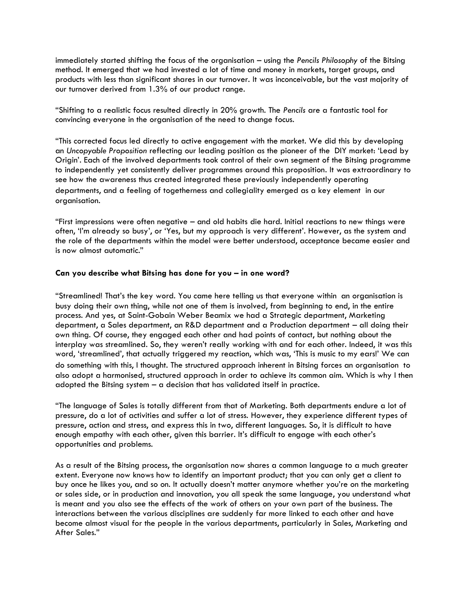immediately started shifting the focus of the organisation – using the *Pencils Philosophy* of the Bitsing method. It emerged that we had invested a lot of time and money in markets, target groups, and products with less than significant shares in our turnover. It was inconceivable, but the vast majority of our turnover derived from 1.3% of our product range.

"Shifting to a realistic focus resulted directly in 20% growth. The *Pencils* are a fantastic tool for convincing everyone in the organisation of the need to change focus.

"This corrected focus led directly to active engagement with the market. We did this by developing an *Uncopyable Proposition* reflecting our leading position as the pioneer of the DIY market: 'Lead by Origin'. Each of the involved departments took control of their own segment of the Bitsing programme to independently yet consistently deliver programmes around this proposition. It was extraordinary to see how the awareness thus created integrated these previously independently operating departments, and a feeling of togetherness and collegiality emerged as a key element in our organisation.

"First impressions were often negative – and old habits die hard. Initial reactions to new things were often, 'I'm already so busy', or 'Yes, but my approach is very different'. However, as the system and the role of the departments within the model were better understood, acceptance became easier and is now almost automatic."

#### **Can you describe what Bitsing has done for you – in one word?**

"Streamlined! That's the key word. You came here telling us that everyone within an organisation is busy doing their own thing, while not one of them is involved, from beginning to end, in the entire process. And yes, at Saint-Gobain Weber Beamix we had a Strategic department, Marketing department, a Sales department, an R&D department and a Production department – all doing their own thing. Of course, they engaged each other and had points of contact, but nothing about the interplay was streamlined. So, they weren't really working with and for each other. Indeed, it was this word, 'streamlined', that actually triggered my reaction, which was, 'This is music to my ears!' We can do something with this, I thought. The structured approach inherent in Bitsing forces an organisation to also adopt a harmonised, structured approach in order to achieve its common aim. Which is why I then adopted the Bitsing system – a decision that has validated itself in practice.

"The language of Sales is totally different from that of Marketing. Both departments endure a lot of pressure, do a lot of activities and suffer a lot of stress. However, they experience different types of pressure, action and stress, and express this in two, different languages. So, it is difficult to have enough empathy with each other, given this barrier. It's difficult to engage with each other's opportunities and problems.

As a result of the Bitsing process, the organisation now shares a common language to a much greater extent. Everyone now knows how to identify an important product; that you can only get a client to buy once he likes you, and so on. It actually doesn't matter anymore whether you're on the marketing or sales side, or in production and innovation, you all speak the same language, you understand what is meant and you also see the effects of the work of others on your own part of the business. The interactions between the various disciplines are suddenly far more linked to each other and have become almost visual for the people in the various departments, particularly in Sales, Marketing and After Sales."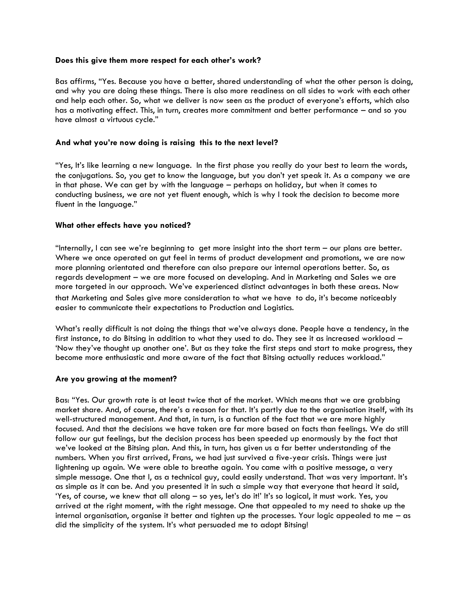#### **Does this give them more respect for each other's work?**

Bas affirms, "Yes. Because you have a better, shared understanding of what the other person is doing, and why you are doing these things. There is also more readiness on all sides to work with each other and help each other. So, what we deliver is now seen as the product of everyone's efforts, which also has a motivating effect. This, in turn, creates more commitment and better performance – and so you have almost a virtuous cycle."

#### **And what you're now doing is raising this to the next level?**

"Yes, It's like learning a new language. In the first phase you really do your best to learn the words, the conjugations. So, you get to know the language, but you don't yet speak it. As a company we are in that phase. We can get by with the language – perhaps on holiday, but when it comes to conducting business, we are not yet fluent enough, which is why I took the decision to become more fluent in the language."

#### **What other effects have you noticed?**

"Internally, I can see we're beginning to get more insight into the short term – our plans are better. Where we once operated on gut feel in terms of product development and promotions, we are now more planning orientated and therefore can also prepare our internal operations better. So, as regards development – we are more focused on developing. And in Marketing and Sales we are more targeted in our approach. We've experienced distinct advantages in both these areas. Now that Marketing and Sales give more consideration to what we have to do, it's become noticeably easier to communicate their expectations to Production and Logistics.

What's really difficult is not doing the things that we've always done. People have a tendency, in the first instance, to do Bitsing in addition to what they used to do. They see it as increased workload – 'Now they've thought up another one'. But as they take the first steps and start to make progress, they become more enthusiastic and more aware of the fact that Bitsing actually reduces workload."

#### **Are you growing at the moment?**

Bas: "Yes. Our growth rate is at least twice that of the market. Which means that we are grabbing market share. And, of course, there's a reason for that. It's partly due to the organisation itself, with its well-structured management. And that, in turn, is a function of the fact that we are more highly focused. And that the decisions we have taken are far more based on facts than feelings. We do still follow our gut feelings, but the decision process has been speeded up enormously by the fact that we've looked at the Bitsing plan. And this, in turn, has given us a far better understanding of the numbers. When you first arrived, Frans, we had just survived a five-year crisis. Things were just lightening up again. We were able to breathe again. You came with a positive message, a very simple message. One that I, as a technical guy, could easily understand. That was very important. It's as simple as it can be. And you presented it in such a simple way that everyone that heard it said, 'Yes, of course, we knew that all along – so yes, let's do it!' It's so logical, it must work. Yes, you arrived at the right moment, with the right message. One that appealed to my need to shake up the internal organisation, organise it better and tighten up the processes. Your logic appealed to me – as did the simplicity of the system. It's what persuaded me to adopt Bitsing!